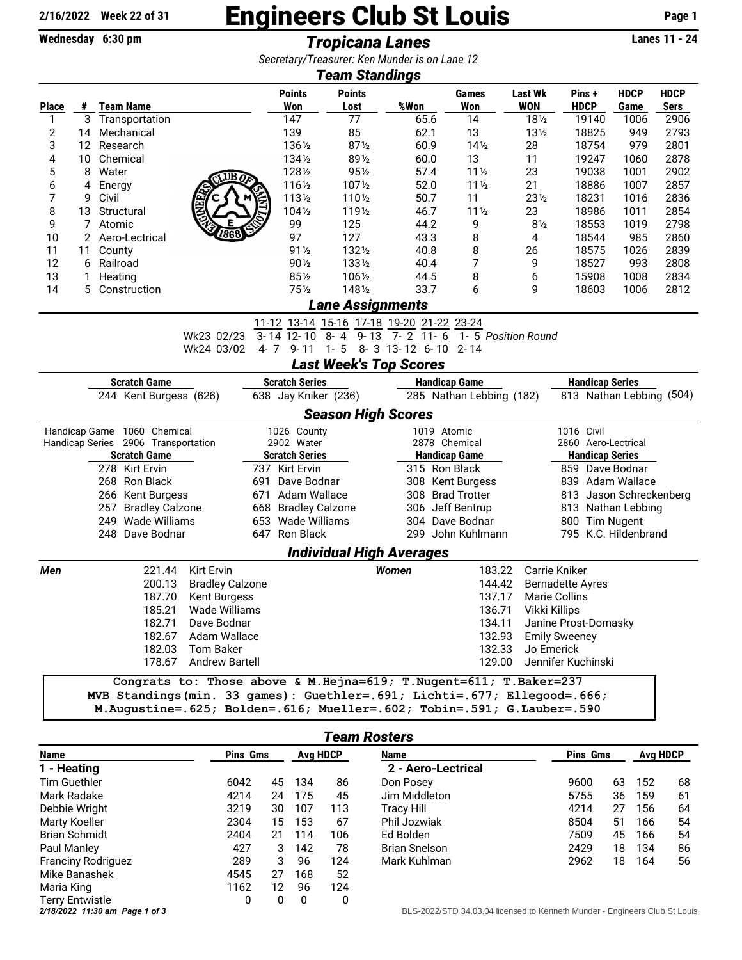## 2/16/2022 Week 22 of 31 **Engineers Club St Louis** Page 1

Wednesday 6:30 pm *Tropicana Lanes* Lanes 11 - 24

|                                                                                                        |         |                                          |                                                                              |                       | Secretary/Treasurer: Ken Munder is on Lane 12 |                                       |                       |                                      |                                  |              |              |  |  |
|--------------------------------------------------------------------------------------------------------|---------|------------------------------------------|------------------------------------------------------------------------------|-----------------------|-----------------------------------------------|---------------------------------------|-----------------------|--------------------------------------|----------------------------------|--------------|--------------|--|--|
|                                                                                                        |         |                                          |                                                                              | <b>Points</b>         | <b>Team Standings</b><br><b>Points</b>        |                                       | <b>Games</b>          | <b>Last Wk</b>                       | Pins +                           | <b>HDCP</b>  | <b>HDCP</b>  |  |  |
| <b>Place</b>                                                                                           | #       | <b>Team Name</b>                         |                                                                              | Won                   | Lost                                          | %Won                                  | <b>Won</b>            | <b>WON</b>                           | <b>HDCP</b>                      | Game         | <b>Sers</b>  |  |  |
| 1                                                                                                      | 3       | Transportation                           |                                                                              | 147                   | 77                                            | 65.6                                  | 14                    | $18\frac{1}{2}$                      | 19140                            | 1006         | 2906         |  |  |
| 2                                                                                                      | 14      | Mechanical                               |                                                                              | 139                   | 85                                            | 62.1                                  | 13                    | $13\frac{1}{2}$                      | 18825                            | 949          | 2793         |  |  |
| 3                                                                                                      |         | 12 Research                              |                                                                              | 1361/2                | $87\%$                                        | 60.9                                  | $14\frac{1}{2}$<br>13 | 28                                   | 18754                            | 979          | 2801<br>2878 |  |  |
| 4<br>5                                                                                                 | 10<br>8 | Chemical                                 |                                                                              | 134½<br>1281/2        | 891/2<br>$95\frac{1}{2}$                      | 60.0<br>57.4                          | $11\frac{1}{2}$       | 11                                   | 19247                            | 1060         |              |  |  |
|                                                                                                        | 4       | Water                                    | $UB$ <sub>0</sub>                                                            | 1161/2                | 1071/2                                        | 52.0                                  | $11\frac{1}{2}$       | 23<br>21                             | 19038<br>18886                   | 1001<br>1007 | 2902<br>2857 |  |  |
| 6<br>7                                                                                                 | 9       | Energy<br>Civil                          |                                                                              | 1131/2                | 1101/2                                        | 50.7                                  | 11                    | $23\frac{1}{2}$                      | 18231                            | 1016         | 2836         |  |  |
| 8                                                                                                      | 13      | Structural                               | <b>ARKE</b>                                                                  | 1041/2                | 1191/2                                        | 46.7                                  | $11\frac{1}{2}$       | 23                                   | 18986                            | 1011         | 2854         |  |  |
| 9                                                                                                      | 7       | Atomic                                   |                                                                              | 99                    | 125                                           | 44.2                                  | 9                     | 8 <sub>2</sub>                       | 18553                            | 1019         | 2798         |  |  |
| 10                                                                                                     | 2       | Aero-Lectrical                           |                                                                              | 97                    | 127                                           | 43.3                                  | 8                     | 4                                    | 18544                            | 985          | 2860         |  |  |
| 11                                                                                                     | 11      | County                                   |                                                                              | $91\frac{1}{2}$       | 1321/2                                        | 40.8                                  | 8                     | 26                                   | 18575                            | 1026         | 2839         |  |  |
| 12                                                                                                     | 6       | Railroad                                 |                                                                              | 901/2                 | 1331/2                                        | 40.4                                  | 7                     | 9                                    | 18527                            | 993          | 2808         |  |  |
| 13                                                                                                     | 1       | Heating                                  |                                                                              | $85\%$                | 1061/2                                        | 44.5                                  | 8                     | 6                                    | 15908                            | 1008         | 2834         |  |  |
| 14                                                                                                     | 5       | Construction                             |                                                                              | $75\frac{1}{2}$       | 1481/2                                        | 33.7                                  | 6                     | 9                                    | 18603                            | 1006         | 2812         |  |  |
|                                                                                                        |         |                                          |                                                                              |                       | <b>Lane Assignments</b>                       |                                       |                       |                                      |                                  |              |              |  |  |
|                                                                                                        |         |                                          |                                                                              |                       | 11-12 13-14 15-16 17-18 19-20 21-22 23-24     |                                       |                       |                                      |                                  |              |              |  |  |
|                                                                                                        |         |                                          | Wk23 02/23                                                                   | 3-14 12-10            | $\frac{1}{9-13}$<br>8-4                       | $7 - 2$ 11 - 6                        | 1- 5 Position Round   |                                      |                                  |              |              |  |  |
|                                                                                                        |         |                                          | Wk24 03/02                                                                   |                       | 4-7 9-11 1-5 8-3 13-12 6-10 2-14              |                                       |                       |                                      |                                  |              |              |  |  |
|                                                                                                        |         |                                          |                                                                              |                       | <b>Last Week's Top Scores</b>                 |                                       |                       |                                      |                                  |              |              |  |  |
| <b>Scratch Game</b><br><b>Scratch Series</b><br><b>Handicap Game</b><br><b>Handicap Series</b>         |         |                                          |                                                                              |                       |                                               |                                       |                       |                                      |                                  |              |              |  |  |
| 813 Nathan Lebbing (504)<br>244 Kent Burgess (626)<br>638 Jay Kniker (236)<br>285 Nathan Lebbing (182) |         |                                          |                                                                              |                       |                                               |                                       |                       |                                      |                                  |              |              |  |  |
|                                                                                                        |         |                                          |                                                                              |                       | <b>Season High Scores</b>                     |                                       |                       |                                      |                                  |              |              |  |  |
|                                                                                                        |         | Handicap Game 1060 Chemical              |                                                                              | 1026 County           |                                               |                                       | 1019 Atomic           |                                      | 1016 Civil                       |              |              |  |  |
|                                                                                                        |         | Handicap Series 2906 Transportation      |                                                                              | 2902 Water            |                                               | 2878 Chemical                         |                       |                                      | 2860 Aero-Lectrical              |              |              |  |  |
|                                                                                                        |         | <b>Scratch Game</b>                      |                                                                              | <b>Scratch Series</b> |                                               | <b>Handicap Game</b><br>315 Ron Black |                       |                                      | <b>Handicap Series</b>           |              |              |  |  |
|                                                                                                        |         | 278 Kirt Ervin                           | 691                                                                          | 737 Kirt Ervin        |                                               |                                       |                       |                                      | 859 Dave Bodnar                  |              |              |  |  |
|                                                                                                        |         | 268 Ron Black                            | Dave Bodnar                                                                  |                       |                                               | 308 Kent Burgess                      |                       | 839 Adam Wallace                     |                                  |              |              |  |  |
|                                                                                                        |         | 266 Kent Burgess                         | 671<br>Adam Wallace                                                          |                       |                                               | 308 Brad Trotter                      |                       | 813 Jason Schreckenberg              |                                  |              |              |  |  |
|                                                                                                        |         | 257 Bradley Calzone<br>249 Wade Williams | 668 Bradley Calzone<br>653 Wade Williams                                     |                       |                                               | 306 Jeff Bentrup<br>304 Dave Bodnar   |                       | 813 Nathan Lebbing<br>800 Tim Nugent |                                  |              |              |  |  |
|                                                                                                        |         | 248 Dave Bodnar                          |                                                                              | 647 Ron Black         |                                               |                                       | 299 John Kuhlmann     |                                      | 795 K.C. Hildenbrand             |              |              |  |  |
|                                                                                                        |         |                                          |                                                                              |                       | <b>Individual High Averages</b>               |                                       |                       |                                      |                                  |              |              |  |  |
| Men                                                                                                    |         | 221.44                                   | Kirt Ervin                                                                   |                       |                                               | <b>Women</b>                          | 183.22                |                                      | Carrie Kniker                    |              |              |  |  |
|                                                                                                        |         | 200.13                                   | <b>Bradley Calzone</b>                                                       |                       |                                               |                                       | 144.42                |                                      | <b>Bernadette Ayres</b>          |              |              |  |  |
|                                                                                                        |         | 187.70                                   | Kent Burgess                                                                 |                       |                                               |                                       | 137.17                |                                      | Marie Collins                    |              |              |  |  |
|                                                                                                        |         | 185.21                                   | Wade Williams                                                                |                       |                                               |                                       | 136.71                | Vikki Killips                        |                                  |              |              |  |  |
|                                                                                                        |         |                                          | 182.71 Dave Bodnar                                                           |                       |                                               |                                       | 134.11                |                                      | Janine Prost-Domasky             |              |              |  |  |
|                                                                                                        |         |                                          | 182.67 Adam Wallace                                                          |                       |                                               |                                       | 132.93                |                                      | <b>Emily Sweeney</b>             |              |              |  |  |
|                                                                                                        |         |                                          | 182.03 Tom Baker                                                             |                       |                                               |                                       | 132.33                |                                      |                                  |              |              |  |  |
|                                                                                                        |         |                                          | 178.67 Andrew Bartell                                                        |                       |                                               |                                       | 129.00                |                                      | Jo Emerick<br>Jennifer Kuchinski |              |              |  |  |
|                                                                                                        |         |                                          |                                                                              |                       |                                               |                                       |                       |                                      |                                  |              |              |  |  |
|                                                                                                        |         |                                          | Congrats to: Those above & M. Hejna=619; T. Nugent=611; T. Baker=237         |                       |                                               |                                       |                       |                                      |                                  |              |              |  |  |
|                                                                                                        |         |                                          | MVB Standings (min. 33 games): Guethler=. 691; Lichti=. 677; Ellegood=. 666; |                       |                                               |                                       |                       |                                      |                                  |              |              |  |  |
|                                                                                                        |         |                                          | M.Augustine=.625; Bolden=.616; Mueller=.602; Tobin=.591; G.Lauber=.590       |                       |                                               |                                       |                       |                                      |                                  |              |              |  |  |

| <b>Team Rosters</b> |  |
|---------------------|--|
|---------------------|--|

| <b>Name</b>                    |      | <b>Pins Gms</b> |     | <b>Avg HDCP</b> | Name                                                                    |  | <b>Pins Gms</b> | <b>Avg HDCP</b> |     |   |
|--------------------------------|------|-----------------|-----|-----------------|-------------------------------------------------------------------------|--|-----------------|-----------------|-----|---|
| 1 - Heating                    |      |                 |     |                 | 2 - Aero-Lectrical                                                      |  |                 |                 |     |   |
| Tim Guethler                   | 6042 | 45              | 134 | 86              | Don Posey                                                               |  | 9600            | 63              | 152 | 6 |
| Mark Radake                    | 4214 | 24              | 175 | 45              | Jim Middleton                                                           |  | 5755            | 36              | 159 | 6 |
| Debbie Wright                  | 3219 | 30              | 107 | 113             | Tracy Hill                                                              |  | 4214            | 27              | 156 | 6 |
| Marty Koeller                  | 2304 | 15              | 153 | 67              | Phil Jozwiak                                                            |  | 8504            | 51              | 166 | 5 |
| <b>Brian Schmidt</b>           | 2404 | 21              | 114 | 106             | Ed Bolden                                                               |  | 7509            | 45              | 166 | 5 |
| Paul Manley                    | 427  | 3               | 142 | 78              | <b>Brian Snelson</b>                                                    |  | 2429            | 18              | 134 | 8 |
| <b>Franciny Rodriguez</b>      | 289  | 3               | 96  | 124             | Mark Kuhlman                                                            |  | 2962            | 18              | 164 | 5 |
| Mike Banashek                  | 4545 | 27              | 168 | 52              |                                                                         |  |                 |                 |     |   |
| Maria King                     | 1162 | 12              | 96  | 124             |                                                                         |  |                 |                 |     |   |
| Terry Entwistle                | 0    | 0               | 0   | 0               |                                                                         |  |                 |                 |     |   |
| 2/18/2022 11:30 am Page 1 of 3 |      |                 |     |                 | BLS-2022/STD 34.03.04 licensed to Kenneth Munder - Engineers Club St Lo |  |                 |                 |     |   |

| Name               | <b>Pins Gms</b> | Avg HDCP |     |    |
|--------------------|-----------------|----------|-----|----|
| 2 - Aero-Lectrical |                 |          |     |    |
| Don Posey          | 9600            | 63       | 152 | 68 |
| Jim Middleton      | 5755            | 36       | 159 | 61 |
| Tracy Hill         | 4214            | 27       | 156 | 64 |
| Phil Jozwiak       | 8504            | 51       | 166 | 54 |
| Ed Bolden          | 7509            | 45       | 166 | 54 |
| Brian Snelson      | 2429            | 18       | 134 | 86 |
| Mark Kuhlman       | 2962            | 18       | 164 | 56 |